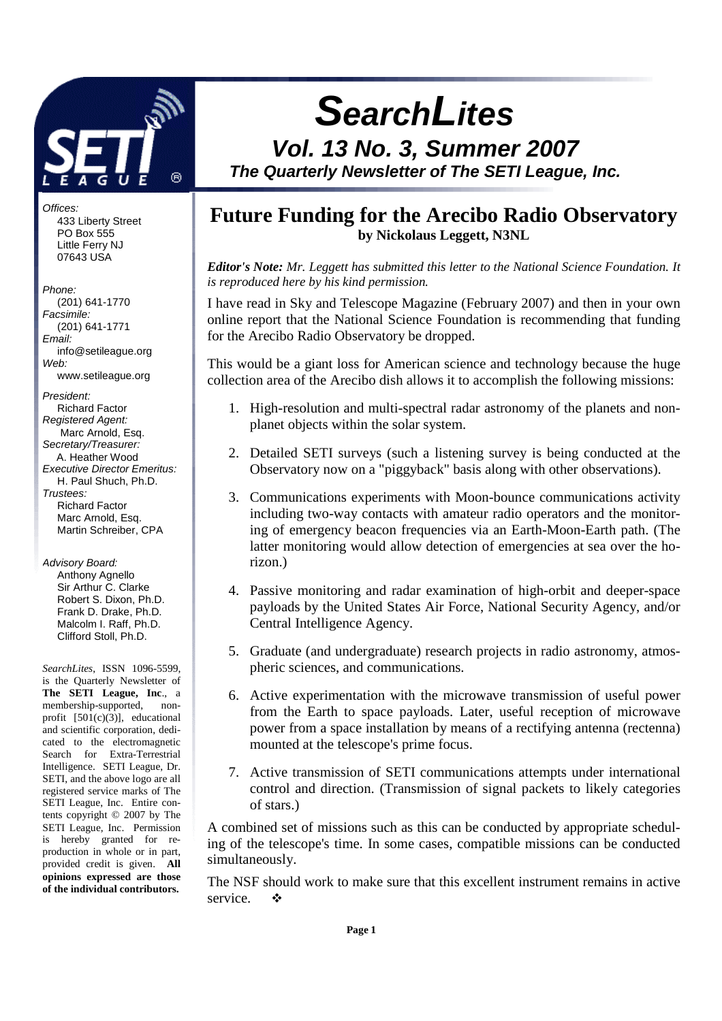

Offices: 433 Liberty Street PO Box 555 Little Ferry NJ 07643 USA

#### Phone:

 (201) 641-1770 Facsimile: (201) 641-1771 Email: info@setileague.org Web: www.setileague.org President: Richard Factor Registered Agent: Marc Arnold, Esq. Secretary/Treasurer: A. Heather Wood Executive Director Emeritus: H. Paul Shuch, Ph.D. Trustees: Richard Factor Marc Arnold, Esq. Martin Schreiber, CPA

Advisory Board: Anthony Agnello Sir Arthur C. Clarke Robert S. Dixon, Ph.D. Frank D. Drake, Ph.D.

> Malcolm I. Raff, Ph.D. Clifford Stoll, Ph.D.

*SearchLites*, ISSN 1096-5599, is the Quarterly Newsletter of **The SETI League, Inc**., a membership-supported, nonprofit  $[501(c)(3)]$ , educational and scientific corporation, dedicated to the electromagnetic Search for Extra-Terrestrial Intelligence. SETI League, Dr. SETI, and the above logo are all registered service marks of The SETI League, Inc. Entire contents copyright © 2007 by The SETI League, Inc. Permission is hereby granted for reproduction in whole or in part, provided credit is given. **All opinions expressed are those of the individual contributors.** 

# **SearchLites**

# **Vol. 13 No. 3, Summer 2007 The Quarterly Newsletter of The SETI League, Inc.**

# **Future Funding for the Arecibo Radio Observatory by Nickolaus Leggett, N3NL**

*Editor's Note: Mr. Leggett has submitted this letter to the National Science Foundation. It is reproduced here by his kind permission.*

I have read in Sky and Telescope Magazine (February 2007) and then in your own online report that the National Science Foundation is recommending that funding for the Arecibo Radio Observatory be dropped.

This would be a giant loss for American science and technology because the huge collection area of the Arecibo dish allows it to accomplish the following missions:

- 1. High-resolution and multi-spectral radar astronomy of the planets and nonplanet objects within the solar system.
- 2. Detailed SETI surveys (such a listening survey is being conducted at the Observatory now on a "piggyback" basis along with other observations).
- 3. Communications experiments with Moon-bounce communications activity including two-way contacts with amateur radio operators and the monitoring of emergency beacon frequencies via an Earth-Moon-Earth path. (The latter monitoring would allow detection of emergencies at sea over the horizon.)
- 4. Passive monitoring and radar examination of high-orbit and deeper-space payloads by the United States Air Force, National Security Agency, and/or Central Intelligence Agency.
- 5. Graduate (and undergraduate) research projects in radio astronomy, atmospheric sciences, and communications.
- 6. Active experimentation with the microwave transmission of useful power from the Earth to space payloads. Later, useful reception of microwave power from a space installation by means of a rectifying antenna (rectenna) mounted at the telescope's prime focus.
- 7. Active transmission of SETI communications attempts under international control and direction. (Transmission of signal packets to likely categories of stars.)

A combined set of missions such as this can be conducted by appropriate scheduling of the telescope's time. In some cases, compatible missions can be conducted simultaneously.

The NSF should work to make sure that this excellent instrument remains in active service.  $\bullet$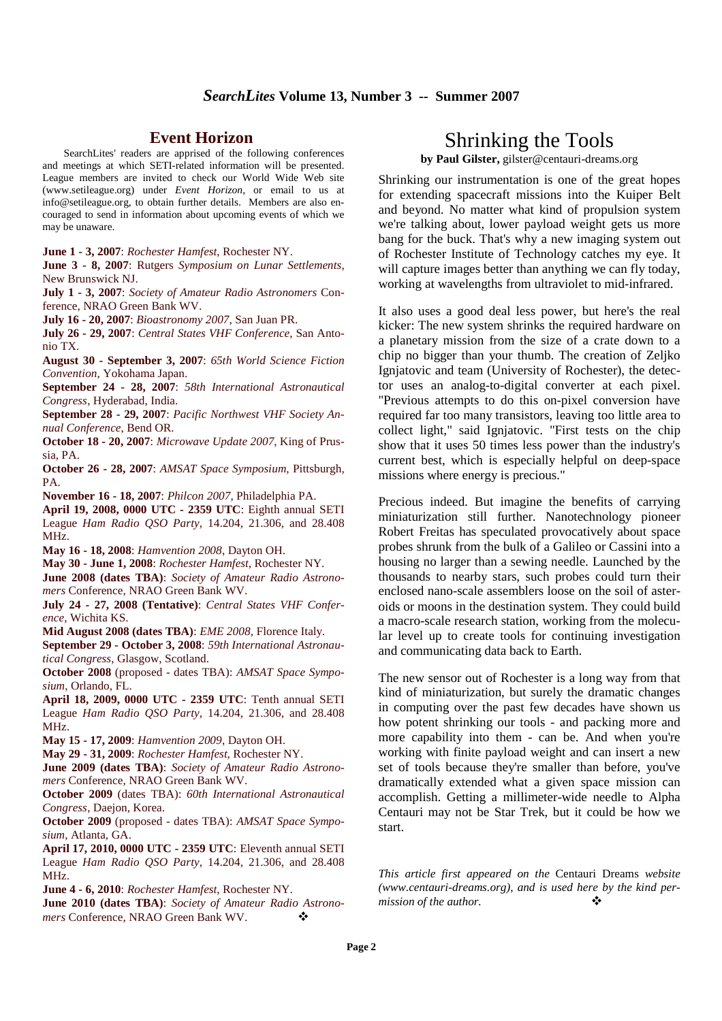#### **Event Horizon**

SearchLites' readers are apprised of the following conferences and meetings at which SETI-related information will be presented. League members are invited to check our World Wide Web site (www.setileague.org) under *Event Horizon*, or email to us at info@setileague.org, to obtain further details. Members are also encouraged to send in information about upcoming events of which we may be unaware.

**June 1 - 3, 2007**: *Rochester Hamfest*, Rochester NY.

**June 3 - 8, 2007**: Rutgers *Symposium on Lunar Settlements*, New Brunswick NJ.

**July 1 - 3, 2007**: *Society of Amateur Radio Astronomers* Conference, NRAO Green Bank WV.

**July 16 - 20, 2007**: *Bioastronomy 2007*, San Juan PR.

**July 26 - 29, 2007**: *Central States VHF Conference*, San Antonio TX.

**August 30 - September 3, 2007**: *65th World Science Fiction Convention*, Yokohama Japan.

**September 24 - 28, 2007**: *58th International Astronautical Congress*, Hyderabad, India.

**September 28 - 29, 2007**: *Pacific Northwest VHF Society Annual Conference*, Bend OR.

**October 18 - 20, 2007**: *Microwave Update 2007*, King of Prussia, PA.

**October 26 - 28, 2007**: *AMSAT Space Symposium*, Pittsburgh, PA.

**November 16 - 18, 2007**: *Philcon 2007*, Philadelphia PA.

**April 19, 2008, 0000 UTC - 2359 UTC**: Eighth annual SETI League *Ham Radio QSO Party*, 14.204, 21.306, and 28.408 MHz.

**May 16 - 18, 2008**: *Hamvention 2008*, Dayton OH.

**May 30 - June 1, 2008**: *Rochester Hamfest*, Rochester NY.

**June 2008 (dates TBA)**: *Society of Amateur Radio Astronomers* Conference, NRAO Green Bank WV.

**July 24 - 27, 2008 (Tentative)**: *Central States VHF Conference*, Wichita KS.

**Mid August 2008 (dates TBA)**: *EME 2008*, Florence Italy.

**September 29 - October 3, 2008**: *59th International Astronautical Congress*, Glasgow, Scotland.

**October 2008** (proposed - dates TBA): *AMSAT Space Symposium*, Orlando, FL.

**April 18, 2009, 0000 UTC - 2359 UTC**: Tenth annual SETI League *Ham Radio QSO Party*, 14.204, 21.306, and 28.408 MHz.

**May 15 - 17, 2009**: *Hamvention 2009*, Dayton OH.

**May 29 - 31, 2009**: *Rochester Hamfest*, Rochester NY.

**June 2009 (dates TBA)**: *Society of Amateur Radio Astronomers* Conference, NRAO Green Bank WV.

**October 2009** (dates TBA): *60th International Astronautical Congress*, Daejon, Korea.

**October 2009** (proposed - dates TBA): *AMSAT Space Symposium*, Atlanta, GA.

**April 17, 2010, 0000 UTC - 2359 UTC**: Eleventh annual SETI League *Ham Radio QSO Party*, 14.204, 21.306, and 28.408 MHz.

**June 4 - 6, 2010**: *Rochester Hamfest*, Rochester NY.

**June 2010 (dates TBA)**: *Society of Amateur Radio Astronomers* Conference, NRAO Green Bank WV.

# Shrinking the Tools

**by Paul Gilster,** gilster@centauri-dreams.org

Shrinking our instrumentation is one of the great hopes for extending spacecraft missions into the Kuiper Belt and beyond. No matter what kind of propulsion system we're talking about, lower payload weight gets us more bang for the buck. That's why a new imaging system out of Rochester Institute of Technology catches my eye. It will capture images better than anything we can fly today, working at wavelengths from ultraviolet to mid-infrared.

It also uses a good deal less power, but here's the real kicker: The new system shrinks the required hardware on a planetary mission from the size of a crate down to a chip no bigger than your thumb. The creation of Zeljko Ignjatovic and team (University of Rochester), the detector uses an analog-to-digital converter at each pixel. "Previous attempts to do this on-pixel conversion have required far too many transistors, leaving too little area to collect light," said Ignjatovic. "First tests on the chip show that it uses 50 times less power than the industry's current best, which is especially helpful on deep-space missions where energy is precious."

Precious indeed. But imagine the benefits of carrying miniaturization still further. Nanotechnology pioneer Robert Freitas has speculated provocatively about space probes shrunk from the bulk of a Galileo or Cassini into a housing no larger than a sewing needle. Launched by the thousands to nearby stars, such probes could turn their enclosed nano-scale assemblers loose on the soil of asteroids or moons in the destination system. They could build a macro-scale research station, working from the molecular level up to create tools for continuing investigation and communicating data back to Earth.

The new sensor out of Rochester is a long way from that kind of miniaturization, but surely the dramatic changes in computing over the past few decades have shown us how potent shrinking our tools - and packing more and more capability into them - can be. And when you're working with finite payload weight and can insert a new set of tools because they're smaller than before, you've dramatically extended what a given space mission can accomplish. Getting a millimeter-wide needle to Alpha Centauri may not be Star Trek, but it could be how we start.

*This article first appeared on the* Centauri Dreams *website (www.centauri-dreams.org), and is used here by the kind permission of the author.*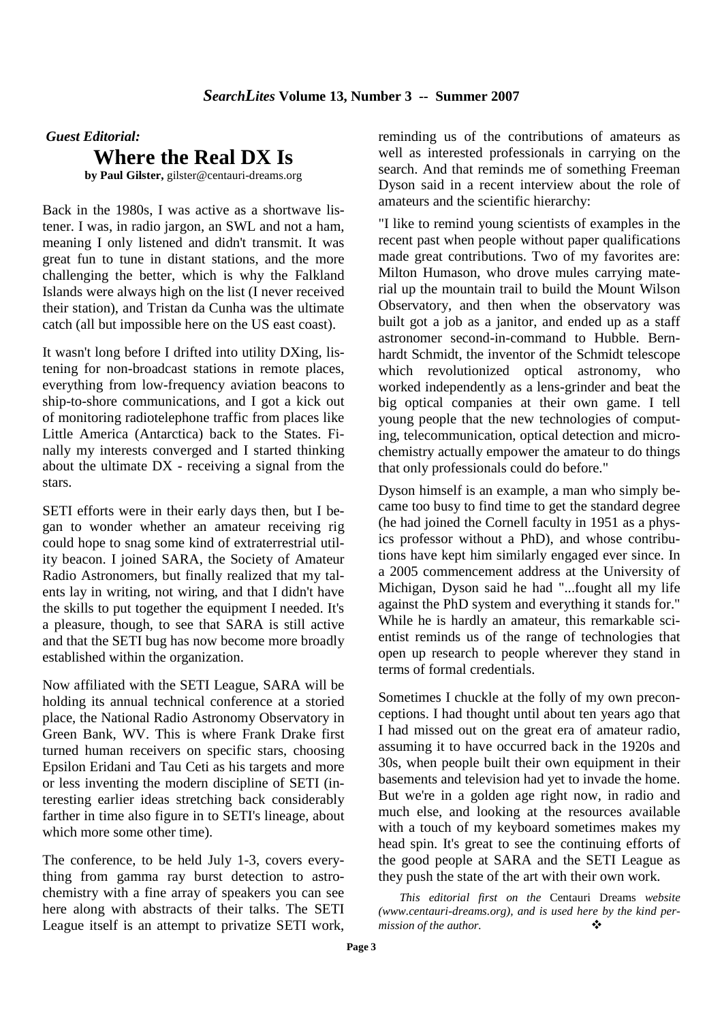*Guest Editorial:* 

**Where the Real DX Is**

**by Paul Gilster,** gilster@centauri-dreams.org

Back in the 1980s, I was active as a shortwave listener. I was, in radio jargon, an SWL and not a ham, meaning I only listened and didn't transmit. It was great fun to tune in distant stations, and the more challenging the better, which is why the Falkland Islands were always high on the list (I never received their station), and Tristan da Cunha was the ultimate catch (all but impossible here on the US east coast).

It wasn't long before I drifted into utility DXing, listening for non-broadcast stations in remote places, everything from low-frequency aviation beacons to ship-to-shore communications, and I got a kick out of monitoring radiotelephone traffic from places like Little America (Antarctica) back to the States. Finally my interests converged and I started thinking about the ultimate DX - receiving a signal from the stars.

SETI efforts were in their early days then, but I began to wonder whether an amateur receiving rig could hope to snag some kind of extraterrestrial utility beacon. I joined SARA, the Society of Amateur Radio Astronomers, but finally realized that my talents lay in writing, not wiring, and that I didn't have the skills to put together the equipment I needed. It's a pleasure, though, to see that SARA is still active and that the SETI bug has now become more broadly established within the organization.

Now affiliated with the SETI League, SARA will be holding its annual technical conference at a storied place, the National Radio Astronomy Observatory in Green Bank, WV. This is where Frank Drake first turned human receivers on specific stars, choosing Epsilon Eridani and Tau Ceti as his targets and more or less inventing the modern discipline of SETI (interesting earlier ideas stretching back considerably farther in time also figure in to SETI's lineage, about which more some other time).

The conference, to be held July 1-3, covers everything from gamma ray burst detection to astrochemistry with a fine array of speakers you can see here along with abstracts of their talks. The SETI League itself is an attempt to privatize SETI work, reminding us of the contributions of amateurs as well as interested professionals in carrying on the search. And that reminds me of something Freeman Dyson said in a recent interview about the role of amateurs and the scientific hierarchy:

"I like to remind young scientists of examples in the recent past when people without paper qualifications made great contributions. Two of my favorites are: Milton Humason, who drove mules carrying material up the mountain trail to build the Mount Wilson Observatory, and then when the observatory was built got a job as a janitor, and ended up as a staff astronomer second-in-command to Hubble. Bernhardt Schmidt, the inventor of the Schmidt telescope which revolutionized optical astronomy, who worked independently as a lens-grinder and beat the big optical companies at their own game. I tell young people that the new technologies of computing, telecommunication, optical detection and microchemistry actually empower the amateur to do things that only professionals could do before."

Dyson himself is an example, a man who simply became too busy to find time to get the standard degree (he had joined the Cornell faculty in 1951 as a physics professor without a PhD), and whose contributions have kept him similarly engaged ever since. In a 2005 commencement address at the University of Michigan, Dyson said he had "...fought all my life against the PhD system and everything it stands for." While he is hardly an amateur, this remarkable scientist reminds us of the range of technologies that open up research to people wherever they stand in terms of formal credentials.

Sometimes I chuckle at the folly of my own preconceptions. I had thought until about ten years ago that I had missed out on the great era of amateur radio, assuming it to have occurred back in the 1920s and 30s, when people built their own equipment in their basements and television had yet to invade the home. But we're in a golden age right now, in radio and much else, and looking at the resources available with a touch of my keyboard sometimes makes my head spin. It's great to see the continuing efforts of the good people at SARA and the SETI League as they push the state of the art with their own work.

*This editorial first on the* Centauri Dreams *website (www.centauri-dreams.org), and is used here by the kind permission of the author.*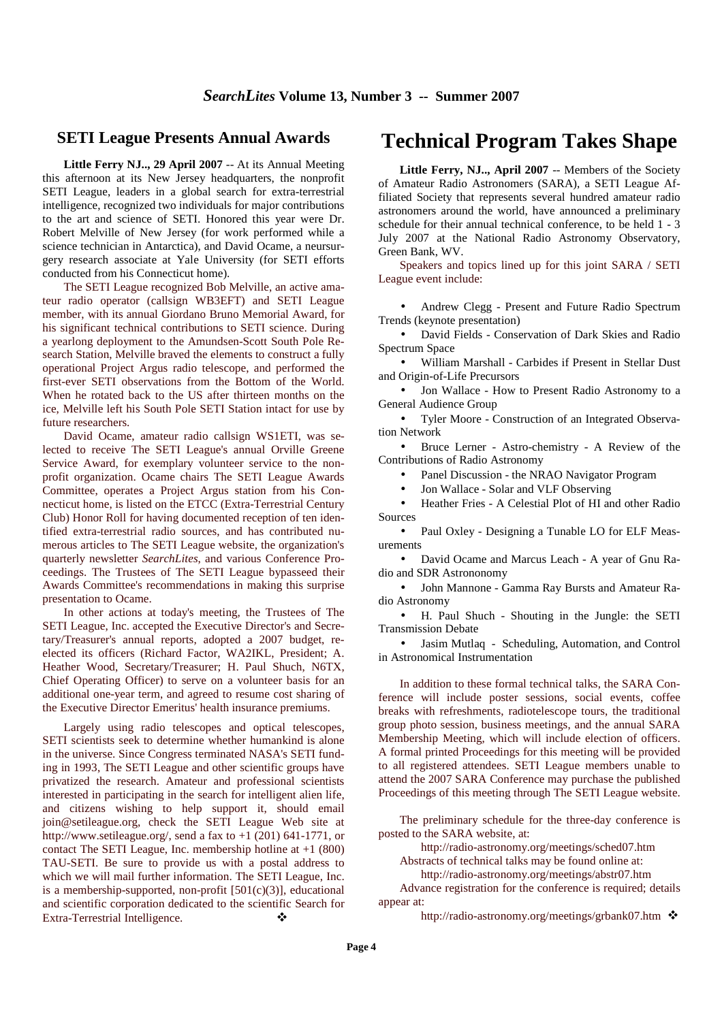#### **SETI League Presents Annual Awards**

**Little Ferry NJ.., 29 April 2007** -- At its Annual Meeting this afternoon at its New Jersey headquarters, the nonprofit SETI League, leaders in a global search for extra-terrestrial intelligence, recognized two individuals for major contributions to the art and science of SETI. Honored this year were Dr. Robert Melville of New Jersey (for work performed while a science technician in Antarctica), and David Ocame, a neursurgery research associate at Yale University (for SETI efforts conducted from his Connecticut home).

The SETI League recognized Bob Melville, an active amateur radio operator (callsign WB3EFT) and SETI League member, with its annual Giordano Bruno Memorial Award, for his significant technical contributions to SETI science. During a yearlong deployment to the Amundsen-Scott South Pole Research Station, Melville braved the elements to construct a fully operational Project Argus radio telescope, and performed the first-ever SETI observations from the Bottom of the World. When he rotated back to the US after thirteen months on the ice, Melville left his South Pole SETI Station intact for use by future researchers.

David Ocame, amateur radio callsign WS1ETI, was selected to receive The SETI League's annual Orville Greene Service Award, for exemplary volunteer service to the nonprofit organization. Ocame chairs The SETI League Awards Committee, operates a Project Argus station from his Connecticut home, is listed on the ETCC (Extra-Terrestrial Century Club) Honor Roll for having documented reception of ten identified extra-terrestrial radio sources, and has contributed numerous articles to The SETI League website, the organization's quarterly newsletter *SearchLites*, and various Conference Proceedings. The Trustees of The SETI League bypasseed their Awards Committee's recommendations in making this surprise presentation to Ocame.

In other actions at today's meeting, the Trustees of The SETI League, Inc. accepted the Executive Director's and Secretary/Treasurer's annual reports, adopted a 2007 budget, reelected its officers (Richard Factor, WA2IKL, President; A. Heather Wood, Secretary/Treasurer; H. Paul Shuch, N6TX, Chief Operating Officer) to serve on a volunteer basis for an additional one-year term, and agreed to resume cost sharing of the Executive Director Emeritus' health insurance premiums.

Largely using radio telescopes and optical telescopes, SETI scientists seek to determine whether humankind is alone in the universe. Since Congress terminated NASA's SETI funding in 1993, The SETI League and other scientific groups have privatized the research. Amateur and professional scientists interested in participating in the search for intelligent alien life, and citizens wishing to help support it, should email join@setileague.org, check the SETI League Web site at http://www.setileague.org/, send a fax to +1 (201) 641-1771, or contact The SETI League, Inc. membership hotline at +1 (800) TAU-SETI. Be sure to provide us with a postal address to which we will mail further information. The SETI League, Inc. is a membership-supported, non-profit  $[501(c)(3)]$ , educational and scientific corporation dedicated to the scientific Search for Extra-Terrestrial Intelligence.

# **Technical Program Takes Shape**

**Little Ferry, NJ.., April 2007** -- Members of the Society of Amateur Radio Astronomers (SARA), a SETI League Affiliated Society that represents several hundred amateur radio astronomers around the world, have announced a preliminary schedule for their annual technical conference, to be held 1 - 3 July 2007 at the National Radio Astronomy Observatory, Green Bank, WV.

Speakers and topics lined up for this joint SARA / SETI League event include:

• Andrew Clegg - Present and Future Radio Spectrum Trends (keynote presentation)

• David Fields - Conservation of Dark Skies and Radio Spectrum Space

• William Marshall - Carbides if Present in Stellar Dust and Origin-of-Life Precursors

• Jon Wallace - How to Present Radio Astronomy to a General Audience Group

• Tyler Moore - Construction of an Integrated Observation Network

• Bruce Lerner - Astro-chemistry - A Review of the Contributions of Radio Astronomy

• Panel Discussion - the NRAO Navigator Program

• Jon Wallace - Solar and VLF Observing

• Heather Fries - A Celestial Plot of HI and other Radio Sources

• Paul Oxley - Designing a Tunable LO for ELF Measurements

• David Ocame and Marcus Leach - A year of Gnu Radio and SDR Astrononomy

• John Mannone - Gamma Ray Bursts and Amateur Radio Astronomy

• H. Paul Shuch - Shouting in the Jungle: the SETI Transmission Debate

• Jasim Mutlaq - Scheduling, Automation, and Control in Astronomical Instrumentation

In addition to these formal technical talks, the SARA Conference will include poster sessions, social events, coffee breaks with refreshments, radiotelescope tours, the traditional group photo session, business meetings, and the annual SARA Membership Meeting, which will include election of officers. A formal printed Proceedings for this meeting will be provided to all registered attendees. SETI League members unable to attend the 2007 SARA Conference may purchase the published Proceedings of this meeting through The SETI League website.

The preliminary schedule for the three-day conference is posted to the SARA website, at:

http://radio-astronomy.org/meetings/sched07.htm

Abstracts of technical talks may be found online at:

http://radio-astronomy.org/meetings/abstr07.htm

Advance registration for the conference is required; details appear at:

http://radio-astronomy.org/meetings/grbank07.htm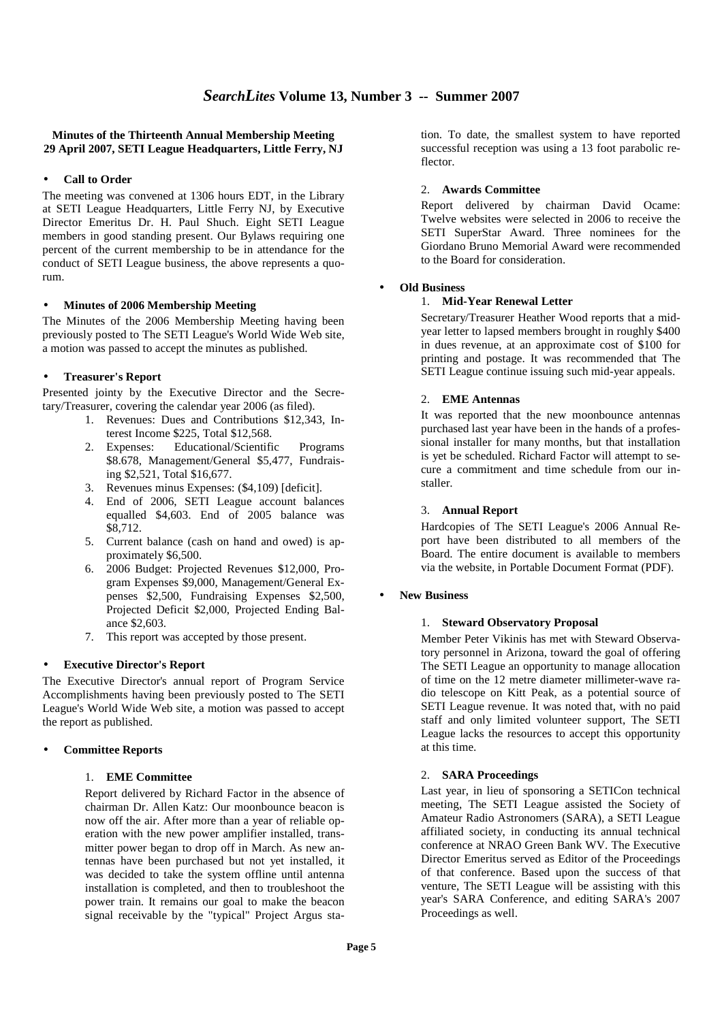#### **Minutes of the Thirteenth Annual Membership Meeting 29 April 2007, SETI League Headquarters, Little Ferry, NJ**

#### • **Call to Order**

The meeting was convened at 1306 hours EDT, in the Library at SETI League Headquarters, Little Ferry NJ, by Executive Director Emeritus Dr. H. Paul Shuch. Eight SETI League members in good standing present. Our Bylaws requiring one percent of the current membership to be in attendance for the conduct of SETI League business, the above represents a quorum.

#### • **Minutes of 2006 Membership Meeting**

The Minutes of the 2006 Membership Meeting having been previously posted to The SETI League's World Wide Web site, a motion was passed to accept the minutes as published.

#### • **Treasurer's Report**

Presented jointy by the Executive Director and the Secretary/Treasurer, covering the calendar year 2006 (as filed).

- 1. Revenues: Dues and Contributions \$12,343, Interest Income \$225, Total \$12,568.
- 2. Expenses: Educational/Scientific Programs \$8.678, Management/General \$5,477, Fundraising \$2,521, Total \$16,677.
- 3. Revenues minus Expenses: (\$4,109) [deficit].
- 4. End of 2006, SETI League account balances equalled \$4,603. End of 2005 balance was \$8,712.
- 5. Current balance (cash on hand and owed) is approximately \$6,500.
- 6. 2006 Budget: Projected Revenues \$12,000, Program Expenses \$9,000, Management/General Expenses \$2,500, Fundraising Expenses \$2,500, Projected Deficit \$2,000, Projected Ending Balance \$2,603.
- 7. This report was accepted by those present.

#### • **Executive Director's Report**

The Executive Director's annual report of Program Service Accomplishments having been previously posted to The SETI League's World Wide Web site, a motion was passed to accept the report as published.

#### • **Committee Reports**

#### 1. **EME Committee**

Report delivered by Richard Factor in the absence of chairman Dr. Allen Katz: Our moonbounce beacon is now off the air. After more than a year of reliable operation with the new power amplifier installed, transmitter power began to drop off in March. As new antennas have been purchased but not yet installed, it was decided to take the system offline until antenna installation is completed, and then to troubleshoot the power train. It remains our goal to make the beacon signal receivable by the "typical" Project Argus station. To date, the smallest system to have reported successful reception was using a 13 foot parabolic reflector.

#### 2. **Awards Committee**

Report delivered by chairman David Ocame: Twelve websites were selected in 2006 to receive the SETI SuperStar Award. Three nominees for the Giordano Bruno Memorial Award were recommended to the Board for consideration.

#### • **Old Business**

#### 1. **Mid-Year Renewal Letter**

Secretary/Treasurer Heather Wood reports that a midyear letter to lapsed members brought in roughly \$400 in dues revenue, at an approximate cost of \$100 for printing and postage. It was recommended that The SETI League continue issuing such mid-year appeals.

#### 2. **EME Antennas**

It was reported that the new moonbounce antennas purchased last year have been in the hands of a professional installer for many months, but that installation is yet be scheduled. Richard Factor will attempt to secure a commitment and time schedule from our installer.

#### 3. **Annual Report**

Hardcopies of The SETI League's 2006 Annual Report have been distributed to all members of the Board. The entire document is available to members via the website, in Portable Document Format (PDF).

#### • **New Business**

#### 1. **Steward Observatory Proposal**

Member Peter Vikinis has met with Steward Observatory personnel in Arizona, toward the goal of offering The SETI League an opportunity to manage allocation of time on the 12 metre diameter millimeter-wave radio telescope on Kitt Peak, as a potential source of SETI League revenue. It was noted that, with no paid staff and only limited volunteer support, The SETI League lacks the resources to accept this opportunity at this time.

#### 2. **SARA Proceedings**

Last year, in lieu of sponsoring a SETICon technical meeting, The SETI League assisted the Society of Amateur Radio Astronomers (SARA), a SETI League affiliated society, in conducting its annual technical conference at NRAO Green Bank WV. The Executive Director Emeritus served as Editor of the Proceedings of that conference. Based upon the success of that venture, The SETI League will be assisting with this year's SARA Conference, and editing SARA's 2007 Proceedings as well.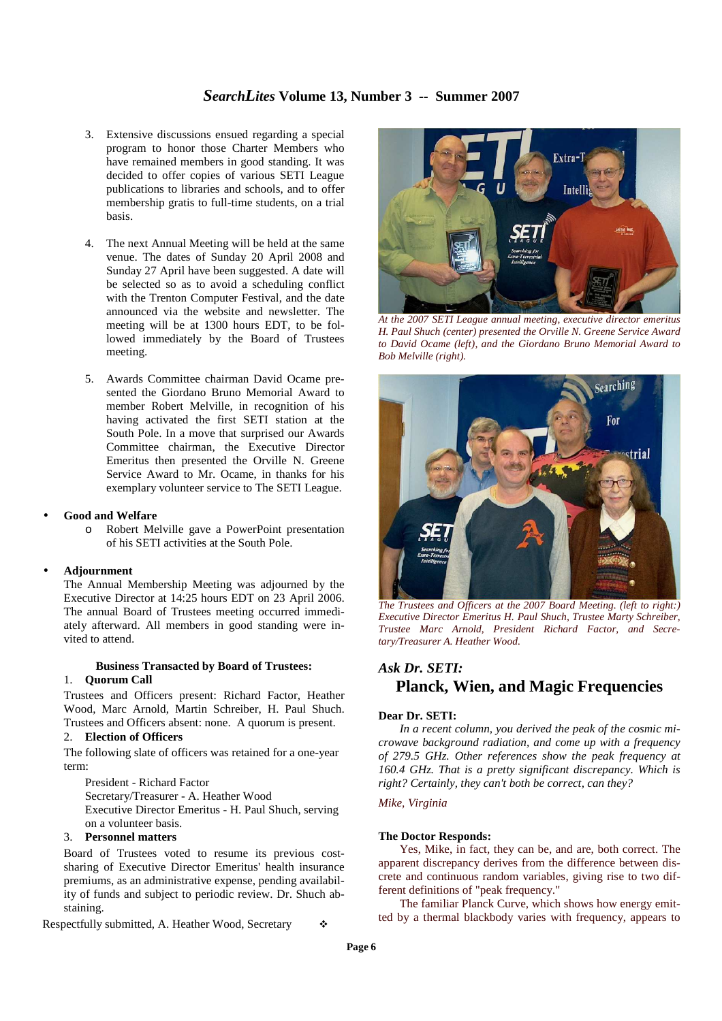#### *SearchLites* **Volume 13, Number 3 -- Summer 2007**

- 3. Extensive discussions ensued regarding a special program to honor those Charter Members who have remained members in good standing. It was decided to offer copies of various SETI League publications to libraries and schools, and to offer membership gratis to full-time students, on a trial basis.
- 4. The next Annual Meeting will be held at the same venue. The dates of Sunday 20 April 2008 and Sunday 27 April have been suggested. A date will be selected so as to avoid a scheduling conflict with the Trenton Computer Festival, and the date announced via the website and newsletter. The meeting will be at 1300 hours EDT, to be followed immediately by the Board of Trustees meeting.
- 5. Awards Committee chairman David Ocame presented the Giordano Bruno Memorial Award to member Robert Melville, in recognition of his having activated the first SETI station at the South Pole. In a move that surprised our Awards Committee chairman, the Executive Director Emeritus then presented the Orville N. Greene Service Award to Mr. Ocame, in thanks for his exemplary volunteer service to The SETI League.

#### • **Good and Welfare**

o Robert Melville gave a PowerPoint presentation of his SETI activities at the South Pole.

#### • **Adjournment**

The Annual Membership Meeting was adjourned by the Executive Director at 14:25 hours EDT on 23 April 2006. The annual Board of Trustees meeting occurred immediately afterward. All members in good standing were invited to attend.

#### **Business Transacted by Board of Trustees:**  1. **Quorum Call**

Trustees and Officers present: Richard Factor, Heather Wood, Marc Arnold, Martin Schreiber, H. Paul Shuch. Trustees and Officers absent: none. A quorum is present.

#### 2. **Election of Officers**

The following slate of officers was retained for a one-year term:

President - Richard Factor Secretary/Treasurer - A. Heather Wood Executive Director Emeritus - H. Paul Shuch, serving on a volunteer basis.

#### 3. **Personnel matters**

Board of Trustees voted to resume its previous costsharing of Executive Director Emeritus' health insurance premiums, as an administrative expense, pending availability of funds and subject to periodic review. Dr. Shuch abstaining.

Respectfully submitted, A. Heather Wood, Secretary



*At the 2007 SETI League annual meeting, executive director emeritus H. Paul Shuch (center) presented the Orville N. Greene Service Award to David Ocame (left), and the Giordano Bruno Memorial Award to Bob Melville (right).* 



*The Trustees and Officers at the 2007 Board Meeting. (left to right:) Executive Director Emeritus H. Paul Shuch, Trustee Marty Schreiber, Trustee Marc Arnold, President Richard Factor, and Secretary/Treasurer A. Heather Wood.* 

## *Ask Dr. SETI:*  **Planck, Wien, and Magic Frequencies**

#### **Dear Dr. SETI:**

*In a recent column, you derived the peak of the cosmic microwave background radiation, and come up with a frequency of 279.5 GHz. Other references show the peak frequency at 160.4 GHz. That is a pretty significant discrepancy. Which is right? Certainly, they can't both be correct, can they?* 

#### *Mike, Virginia*

#### **The Doctor Responds:**

Yes, Mike, in fact, they can be, and are, both correct. The apparent discrepancy derives from the difference between discrete and continuous random variables, giving rise to two different definitions of "peak frequency."

The familiar Planck Curve, which shows how energy emitted by a thermal blackbody varies with frequency, appears to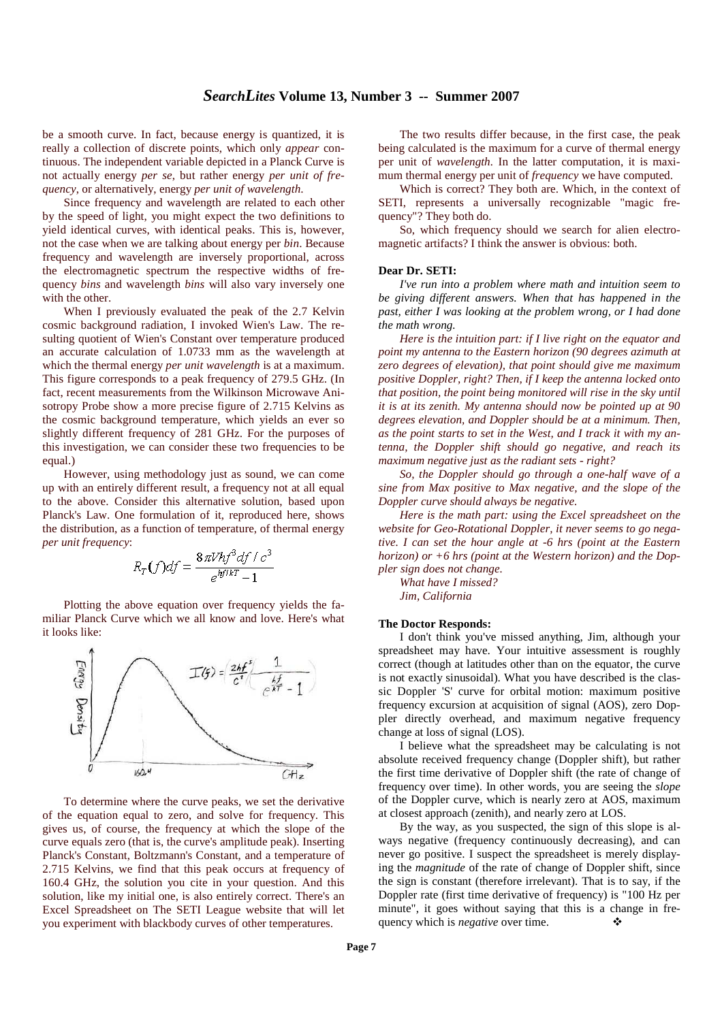be a smooth curve. In fact, because energy is quantized, it is really a collection of discrete points, which only *appear* continuous. The independent variable depicted in a Planck Curve is not actually energy *per se*, but rather energy *per unit of frequency*, or alternatively, energy *per unit of wavelength*.

Since frequency and wavelength are related to each other by the speed of light, you might expect the two definitions to yield identical curves, with identical peaks. This is, however, not the case when we are talking about energy per *bin*. Because frequency and wavelength are inversely proportional, across the electromagnetic spectrum the respective widths of frequency *bins* and wavelength *bins* will also vary inversely one with the other.

When I previously evaluated the peak of the 2.7 Kelvin cosmic background radiation, I invoked Wien's Law. The resulting quotient of Wien's Constant over temperature produced an accurate calculation of 1.0733 mm as the wavelength at which the thermal energy *per unit wavelength* is at a maximum. This figure corresponds to a peak frequency of 279.5 GHz. (In fact, recent measurements from the Wilkinson Microwave Anisotropy Probe show a more precise figure of 2.715 Kelvins as the cosmic background temperature, which yields an ever so slightly different frequency of 281 GHz. For the purposes of this investigation, we can consider these two frequencies to be equal.)

However, using methodology just as sound, we can come up with an entirely different result, a frequency not at all equal to the above. Consider this alternative solution, based upon Planck's Law. One formulation of it, reproduced here, shows the distribution, as a function of temperature, of thermal energy *per unit frequency*:

$$
R_T(f)df = \frac{8\pi Vhf^3df/c^3}{e^{hf/kT} - 1}
$$

Plotting the above equation over frequency yields the familiar Planck Curve which we all know and love. Here's what it looks like:



To determine where the curve peaks, we set the derivative of the equation equal to zero, and solve for frequency. This gives us, of course, the frequency at which the slope of the curve equals zero (that is, the curve's amplitude peak). Inserting Planck's Constant, Boltzmann's Constant, and a temperature of 2.715 Kelvins, we find that this peak occurs at frequency of 160.4 GHz, the solution you cite in your question. And this solution, like my initial one, is also entirely correct. There's an Excel Spreadsheet on The SETI League website that will let you experiment with blackbody curves of other temperatures.

The two results differ because, in the first case, the peak being calculated is the maximum for a curve of thermal energy per unit of *wavelength.* In the latter computation, it is maximum thermal energy per unit of *frequency* we have computed.

Which is correct? They both are. Which, in the context of SETI, represents a universally recognizable "magic frequency"? They both do.

So, which frequency should we search for alien electromagnetic artifacts? I think the answer is obvious: both.

#### **Dear Dr. SETI:**

*I've run into a problem where math and intuition seem to be giving different answers. When that has happened in the past, either I was looking at the problem wrong, or I had done the math wrong.* 

*Here is the intuition part: if I live right on the equator and point my antenna to the Eastern horizon (90 degrees azimuth at zero degrees of elevation), that point should give me maximum positive Doppler, right? Then, if I keep the antenna locked onto that position, the point being monitored will rise in the sky until it is at its zenith. My antenna should now be pointed up at 90 degrees elevation, and Doppler should be at a minimum. Then, as the point starts to set in the West, and I track it with my antenna, the Doppler shift should go negative, and reach its maximum negative just as the radiant sets - right?* 

*So, the Doppler should go through a one-half wave of a sine from Max positive to Max negative, and the slope of the Doppler curve should always be negative.* 

*Here is the math part: using the Excel spreadsheet on the website for Geo-Rotational Doppler, it never seems to go negative. I can set the hour angle at -6 hrs (point at the Eastern horizon) or +6 hrs (point at the Western horizon) and the Doppler sign does not change.* 

*What have I missed? Jim, California*

#### **The Doctor Responds:**

I don't think you've missed anything, Jim, although your spreadsheet may have. Your intuitive assessment is roughly correct (though at latitudes other than on the equator, the curve is not exactly sinusoidal). What you have described is the classic Doppler 'S' curve for orbital motion: maximum positive frequency excursion at acquisition of signal (AOS), zero Doppler directly overhead, and maximum negative frequency change at loss of signal (LOS).

I believe what the spreadsheet may be calculating is not absolute received frequency change (Doppler shift), but rather the first time derivative of Doppler shift (the rate of change of frequency over time). In other words, you are seeing the *slope* of the Doppler curve, which is nearly zero at AOS, maximum at closest approach (zenith), and nearly zero at LOS.

By the way, as you suspected, the sign of this slope is always negative (frequency continuously decreasing), and can never go positive. I suspect the spreadsheet is merely displaying the *magnitude* of the rate of change of Doppler shift, since the sign is constant (therefore irrelevant). That is to say, if the Doppler rate (first time derivative of frequency) is "100 Hz per minute", it goes without saying that this is a change in frequency which is *negative* over time.